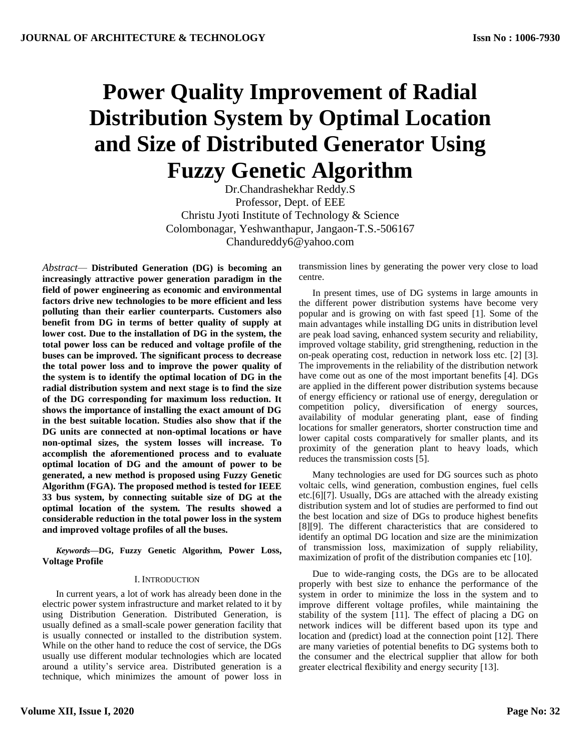# **Power Quality Improvement of Radial Distribution System by Optimal Location and Size of Distributed Generator Using Fuzzy Genetic Algorithm**

Dr.Chandrashekhar Reddy.S Professor, Dept. of EEE Christu Jyoti Institute of Technology & Science Colombonagar, Yeshwanthapur, Jangaon-T.S.-506167 Chandureddy6@yahoo.com

*Abstract—* **Distributed Generation (DG) is becoming an increasingly attractive power generation paradigm in the field of power engineering as economic and environmental factors drive new technologies to be more efficient and less polluting than their earlier counterparts. Customers also benefit from DG in terms of better quality of supply at lower cost. Due to the installation of DG in the system, the total power loss can be reduced and voltage profile of the buses can be improved. The significant process to decrease the total power loss and to improve the power quality of the system is to identify the optimal location of DG in the radial distribution system and next stage is to find the size of the DG corresponding for maximum loss reduction. It shows the importance of installing the exact amount of DG in the best suitable location. Studies also show that if the DG units are connected at non-optimal locations or have non-optimal sizes, the system losses will increase. To accomplish the aforementioned process and to evaluate optimal location of DG and the amount of power to be generated, a new method is proposed using Fuzzy Genetic Algorithm (FGA). The proposed method is tested for IEEE 33 bus system, by connecting suitable size of DG at the optimal location of the system. The results showed a considerable reduction in the total power loss in the system and improved voltage profiles of all the buses.**

*Keywords—***DG, Fuzzy Genetic Algorithm, Power Loss, Voltage Profile**

#### I. INTRODUCTION

In current years, a lot of work has already been done in the electric power system infrastructure and market related to it by using Distribution Generation. Distributed Generation, is usually defined as a small-scale power generation facility that is usually connected or installed to the distribution system. While on the other hand to reduce the cost of service, the DGs usually use different modular technologies which are located around a utility's service area. Distributed generation is a technique, which minimizes the amount of power loss in

transmission lines by generating the power very close to load centre.

In present times, use of DG systems in large amounts in the different power distribution systems have become very popular and is growing on with fast speed [1]. Some of the main advantages while installing DG units in distribution level are peak load saving, enhanced system security and reliability, improved voltage stability, grid strengthening, reduction in the on-peak operating cost, reduction in network loss etc. [2] [3]. The improvements in the reliability of the distribution network have come out as one of the most important benefits [4]. DGs are applied in the different power distribution systems because of energy efficiency or rational use of energy, deregulation or competition policy, diversification of energy sources, availability of modular generating plant, ease of finding locations for smaller generators, shorter construction time and lower capital costs comparatively for smaller plants, and its proximity of the generation plant to heavy loads, which reduces the transmission costs [5].

Many technologies are used for DG sources such as photo voltaic cells, wind generation, combustion engines, fuel cells etc.[6][7]. Usually, DGs are attached with the already existing distribution system and lot of studies are performed to find out the best location and size of DGs to produce highest benefits [8][9]. The different characteristics that are considered to identify an optimal DG location and size are the minimization of transmission loss, maximization of supply reliability, maximization of profit of the distribution companies etc [10].

Due to wide-ranging costs, the DGs are to be allocated properly with best size to enhance the performance of the system in order to minimize the loss in the system and to improve different voltage profiles, while maintaining the stability of the system [11]. The effect of placing a DG on network indices will be different based upon its type and location and (predict) load at the connection point [12]. There are many varieties of potential benefits to DG systems both to the consumer and the electrical supplier that allow for both greater electrical flexibility and energy security [13].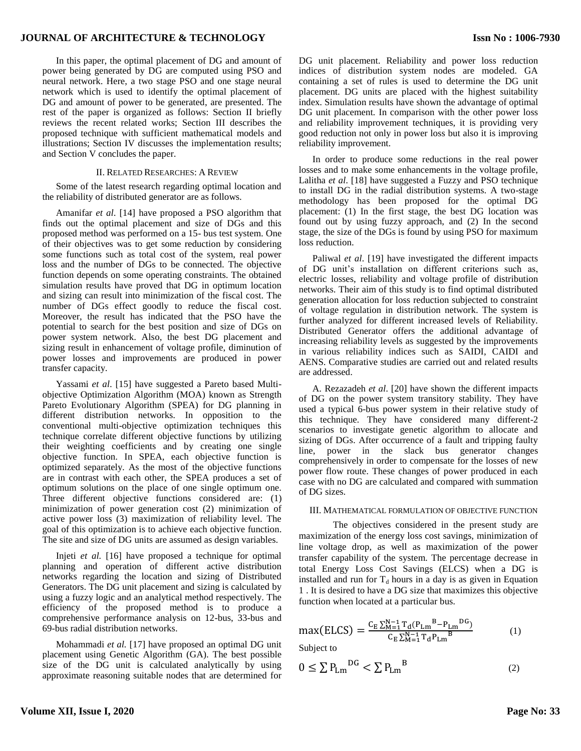In this paper, the optimal placement of DG and amount of power being generated by DG are computed using PSO and neural network. Here, a two stage PSO and one stage neural network which is used to identify the optimal placement of DG and amount of power to be generated, are presented. The rest of the paper is organized as follows: Section II briefly reviews the recent related works; Section III describes the proposed technique with sufficient mathematical models and illustrations; Section IV discusses the implementation results; and Section V concludes the paper.

## II. RELATED RESEARCHES: A REVIEW

Some of the latest research regarding optimal location and the reliability of distributed generator are as follows.

Amanifar *et al*. [14] have proposed a PSO algorithm that finds out the optimal placement and size of DGs and this proposed method was performed on a 15- bus test system. One of their objectives was to get some reduction by considering some functions such as total cost of the system, real power loss and the number of DGs to be connected. The objective function depends on some operating constraints. The obtained simulation results have proved that DG in optimum location and sizing can result into minimization of the fiscal cost. The number of DGs effect goodly to reduce the fiscal cost. Moreover, the result has indicated that the PSO have the potential to search for the best position and size of DGs on power system network. Also, the best DG placement and sizing result in enhancement of voltage profile, diminution of power losses and improvements are produced in power transfer capacity.

Yassami *et al*. [15] have suggested a Pareto based Multiobjective Optimization Algorithm (MOA) known as Strength Pareto Evolutionary Algorithm (SPEA) for DG planning in different distribution networks. In opposition to the conventional multi-objective optimization techniques this technique correlate different objective functions by utilizing their weighting coefficients and by creating one single objective function. In SPEA, each objective function is optimized separately. As the most of the objective functions are in contrast with each other, the SPEA produces a set of optimum solutions on the place of one single optimum one. Three different objective functions considered are: (1) minimization of power generation cost (2) minimization of active power loss (3) maximization of reliability level. The goal of this optimization is to achieve each objective function. The site and size of DG units are assumed as design variables.

Injeti *et al.* [16] have proposed a technique for optimal planning and operation of different active distribution networks regarding the location and sizing of Distributed Generators. The DG unit placement and sizing is calculated by using a fuzzy logic and an analytical method respectively. The efficiency of the proposed method is to produce a comprehensive performance analysis on 12-bus, 33-bus and 69-bus radial distribution networks.

Mohammadi *et al.* [17] have proposed an optimal DG unit placement using Genetic Algorithm (GA). The best possible size of the DG unit is calculated analytically by using approximate reasoning suitable nodes that are determined for

DG unit placement. Reliability and power loss reduction indices of distribution system nodes are modeled. GA containing a set of rules is used to determine the DG unit placement. DG units are placed with the highest suitability index. Simulation results have shown the advantage of optimal DG unit placement. In comparison with the other power loss and reliability improvement techniques, it is providing very good reduction not only in power loss but also it is improving reliability improvement.

In order to produce some reductions in the real power losses and to make some enhancements in the voltage profile, Lalitha *et al*. [18] have suggested a Fuzzy and PSO technique to install DG in the radial distribution systems. A two-stage methodology has been proposed for the optimal DG placement: (1) In the first stage, the best DG location was found out by using fuzzy approach, and (2) In the second stage, the size of the DGs is found by using PSO for maximum loss reduction.

Paliwal *et al*. [19] have investigated the different impacts of DG unit's installation on different criterions such as, electric losses, reliability and voltage profile of distribution networks. Their aim of this study is to find optimal distributed generation allocation for loss reduction subjected to constraint of voltage regulation in distribution network. The system is further analyzed for different increased levels of Reliability. Distributed Generator offers the additional advantage of increasing reliability levels as suggested by the improvements in various reliability indices such as SAIDI, CAIDI and AENS. Comparative studies are carried out and related results are addressed.

A. Rezazadeh *et al*. [20] have shown the different impacts of DG on the power system transitory stability. They have used a typical 6-bus power system in their relative study of this technique. They have considered many different-2 scenarios to investigate genetic algorithm to allocate and sizing of DGs. After occurrence of a fault and tripping faulty line, power in the slack bus generator changes comprehensively in order to compensate for the losses of new power flow route. These changes of power produced in each case with no DG are calculated and compared with summation of DG sizes.

#### III. MATHEMATICAL FORMULATION OF OBJECTIVE FUNCTION

The objectives considered in the present study are maximization of the energy loss cost savings, minimization of line voltage drop, as well as maximization of the power transfer capability of the system. The percentage decrease in total Energy Loss Cost Savings (ELCS) when a DG is installed and run for  $T_d$  hours in a day is as given in Equation 1 . It is desired to have a DG size that maximizes this objective function when located at a particular bus.

$$
\max(ELCS) = \frac{C_E \sum_{M=1}^{N-1} T_d (P_{Lm}^B - P_{Lm}^D)^{G}}{C_E \sum_{M=1}^{N-1} T_d P_{Lm}^B}
$$
(1)

Subject to

$$
0 \le \sum P_{\text{Lm}}^{\text{DG}} < \sum P_{\text{Lm}}^{\text{B}} \tag{2}
$$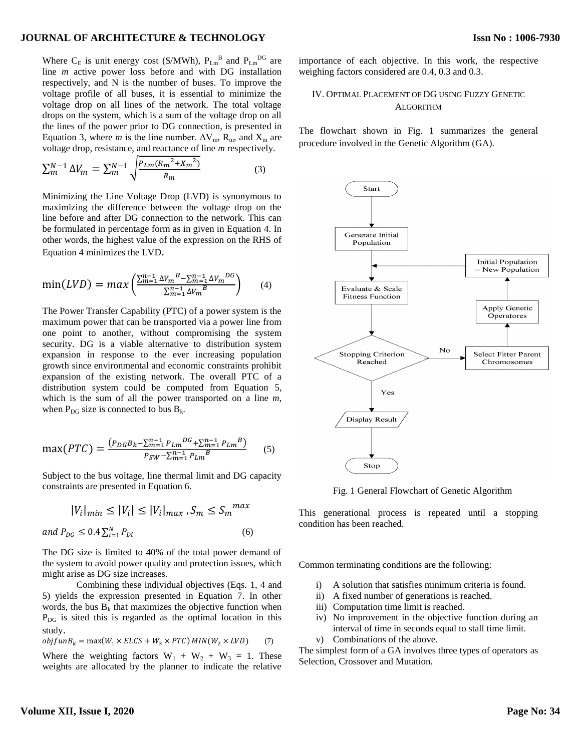Where  $C_E$  is unit energy cost (\$/MWh),  $P_{Lm}^{B}$  and  $P_{Lm}^{DG}$  are line *m* active power loss before and with DG installation respectively, and N is the number of buses. To improve the voltage profile of all buses, it is essential to minimize the voltage drop on all lines of the network. The total voltage drops on the system, which is a sum of the voltage drop on all the lines of the power prior to DG connection, is presented in Equation 3, where *m* is the line number.  $\Delta V_m$ , R<sub>m</sub>, and X<sub>m</sub> are voltage drop, resistance, and reactance of line *m* respectively.

$$
\sum_{m}^{N-1} \Delta V_m = \sum_{m}^{N-1} \sqrt{\frac{P_{Lm}(R_m^2 + X_m^2)}{R_m}}
$$
(3)

Minimizing the Line Voltage Drop (LVD) is synonymous to maximizing the difference between the voltage drop on the line before and after DG connection to the network. This can be formulated in percentage form as in given in Equation 4. In other words, the highest value of the expression on the RHS of Equation 4 minimizes the LVD.

$$
\min(LVD) = \max\left(\frac{\sum_{m=1}^{n-1} \Delta V_m{}^B - \sum_{m=1}^{n-1} \Delta V_m{}^{DG}}{\sum_{m=1}^{n-1} \Delta V_m{}^B}\right) \tag{4}
$$

The Power Transfer Capability (PTC) of a power system is the maximum power that can be transported via a power line from one point to another, without compromising the system security. DG is a viable alternative to distribution system expansion in response to the ever increasing population growth since environmental and economic constraints prohibit expansion of the existing network. The overall PTC of a distribution system could be computed from Equation 5, which is the sum of all the power transported on a line *m*, when  $P_{DG}$  size is connected to bus  $B_k$ .

$$
\max(PTC) = \frac{(P_{DG}B_k - \sum_{m=1}^{n-1} P_{Lm}^{DG} + \sum_{m=1}^{n-1} P_{Lm}^{B})}{P_{SW} - \sum_{m=1}^{n-1} P_{Lm}^{B}} \tag{5}
$$

Subject to the bus voltage, line thermal limit and DG capacity constraints are presented in Equation 6.

$$
|V_i|_{min} \le |V_i| \le |V_i|_{max}, S_m \le S_m^{max}
$$
  
and  $P_{DG} \le 0.4 \sum_{i=1}^N P_{Di}$  (6)

The DG size is limited to 40% of the total power demand of the system to avoid power quality and protection issues, which might arise as DG size increases.

Combining these individual objectives (Eqs. 1, 4 and 5) yields the expression presented in Equation 7. In other words, the bus  $B_k$  that maximizes the objective function when  $P_{DG}$  is sited this is regarded as the optimal location in this study.

$$
objfunB_k = \max(W_1 \times ELCS + W_3 \times PTC) MIN(W_2 \times LVD) \tag{7}
$$

Where the weighting factors  $W_1 + W_2 + W_3 = 1$ . These weights are allocated by the planner to indicate the relative importance of each objective. In this work, the respective weighing factors considered are 0.4, 0.3 and 0.3.

# IV. OPTIMAL PLACEMENT OF DG USING FUZZY GENETIC **ALGORITHM**

The flowchart shown in Fig. 1 summarizes the general procedure involved in the Genetic Algorithm (GA).



Fig. 1 General Flowchart of Genetic Algorithm

This generational process is repeated until a stopping condition has been reached.

Common terminating conditions are the following:

- i) A solution that satisfies minimum criteria is found.
- ii) A fixed number of generations is reached.
- iii) Computation time limit is reached.
- iv) No improvement in the objective function during an interval of time in seconds equal to stall time limit.
- v) Combinations of the above.

The simplest form of a GA involves three types of operators as Selection, Crossover and Mutation.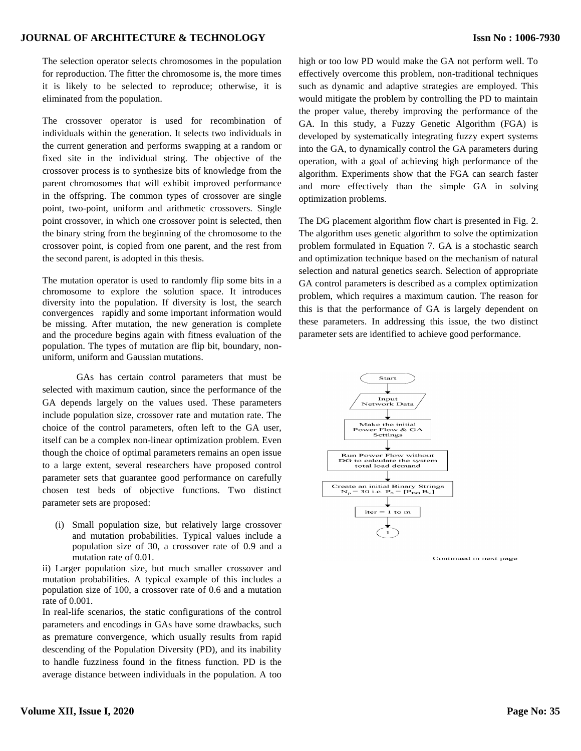The selection operator selects chromosomes in the population for reproduction. The fitter the chromosome is, the more times it is likely to be selected to reproduce; otherwise, it is eliminated from the population.

The crossover operator is used for recombination of individuals within the generation. It selects two individuals in the current generation and performs swapping at a random or fixed site in the individual string. The objective of the crossover process is to synthesize bits of knowledge from the parent chromosomes that will exhibit improved performance in the offspring. The common types of crossover are single point, two-point, uniform and arithmetic crossovers. Single point crossover, in which one crossover point is selected, then the binary string from the beginning of the chromosome to the crossover point, is copied from one parent, and the rest from the second parent, is adopted in this thesis.

The mutation operator is used to randomly flip some bits in a chromosome to explore the solution space. It introduces diversity into the population. If diversity is lost, the search convergences rapidly and some important information would be missing. After mutation, the new generation is complete and the procedure begins again with fitness evaluation of the population. The types of mutation are flip bit, boundary, nonuniform, uniform and Gaussian mutations.

GAs has certain control parameters that must be selected with maximum caution, since the performance of the GA depends largely on the values used. These parameters include population size, crossover rate and mutation rate. The choice of the control parameters, often left to the GA user, itself can be a complex non-linear optimization problem. Even though the choice of optimal parameters remains an open issue to a large extent, several researchers have proposed control parameter sets that guarantee good performance on carefully chosen test beds of objective functions. Two distinct parameter sets are proposed:

(i) Small population size, but relatively large crossover and mutation probabilities. Typical values include a population size of 30, a crossover rate of 0.9 and a mutation rate of 0.01.

ii) Larger population size, but much smaller crossover and mutation probabilities. A typical example of this includes a population size of 100, a crossover rate of 0.6 and a mutation rate of 0.001.

In real-life scenarios, the static configurations of the control parameters and encodings in GAs have some drawbacks, such as premature convergence, which usually results from rapid descending of the Population Diversity (PD), and its inability to handle fuzziness found in the fitness function. PD is the average distance between individuals in the population. A too

high or too low PD would make the GA not perform well. To effectively overcome this problem, non-traditional techniques such as dynamic and adaptive strategies are employed. This would mitigate the problem by controlling the PD to maintain the proper value, thereby improving the performance of the GA. In this study, a Fuzzy Genetic Algorithm (FGA) is developed by systematically integrating fuzzy expert systems into the GA, to dynamically control the GA parameters during operation, with a goal of achieving high performance of the algorithm. Experiments show that the FGA can search faster and more effectively than the simple GA in solving optimization problems.

The DG placement algorithm flow chart is presented in Fig. 2. The algorithm uses genetic algorithm to solve the optimization problem formulated in Equation 7. GA is a stochastic search and optimization technique based on the mechanism of natural selection and natural genetics search. Selection of appropriate GA control parameters is described as a complex optimization problem, which requires a maximum caution. The reason for this is that the performance of GA is largely dependent on these parameters. In addressing this issue, the two distinct parameter sets are identified to achieve good performance.



Continued in next page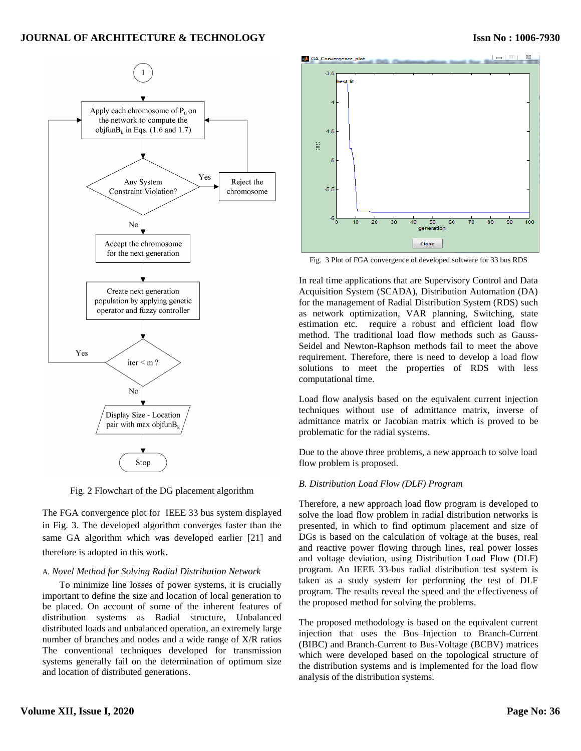

Fig. 2 Flowchart of the DG placement algorithm

The FGA convergence plot for IEEE 33 bus system displayed in Fig. 3. The developed algorithm converges faster than the same GA algorithm which was developed earlier [21] and therefore is adopted in this work.

#### A. *Novel Method for Solving Radial Distribution Network*

To minimize line losses of power systems, it is crucially important to define the size and location of local generation to be placed. On account of some of the inherent features of distribution systems as Radial structure, Unbalanced distributed loads and unbalanced operation, an extremely large number of branches and nodes and a wide range of X/R ratios The conventional techniques developed for transmission systems generally fail on the determination of optimum size and location of distributed generations.

computational time.

Due to the above three problems, a new approach to solve load flow problem is proposed.

Load flow analysis based on the equivalent current injection

admittance matrix or Jacobian matrix which is proved to be

#### *B. Distribution Load Flow (DLF) Program*

problematic for the radial systems.

Therefore, a new approach load flow program is developed to solve the load flow problem in radial distribution networks is presented, in which to find optimum placement and size of DGs is based on the calculation of voltage at the buses, real and reactive power flowing through lines, real power losses and voltage deviation, using Distribution Load Flow (DLF) program. An IEEE 33-bus radial distribution test system is taken as a study system for performing the test of DLF program. The results reveal the speed and the effectiveness of the proposed method for solving the problems.

The proposed methodology is based on the equivalent current injection that uses the Bus–Injection to Branch-Current (BIBC) and Branch-Current to Bus-Voltage (BCBV) matrices which were developed based on the topological structure of the distribution systems and is implemented for the load flow analysis of the distribution systems.

**Volume XII, Issue I, 2020**



Fig. 3 Plot of FGA convergence of developed software for 33 bus RDS

In real time applications that are Supervisory Control and Data Acquisition System (SCADA), Distribution Automation (DA) for the management of Radial Distribution System (RDS) such as network optimization, VAR planning, Switching, state estimation etc. require a robust and efficient load flow method. The traditional load flow methods such as Gauss-Seidel and Newton-Raphson methods fail to meet the above requirement. Therefore, there is need to develop a load flow solutions to meet the properties of RDS with less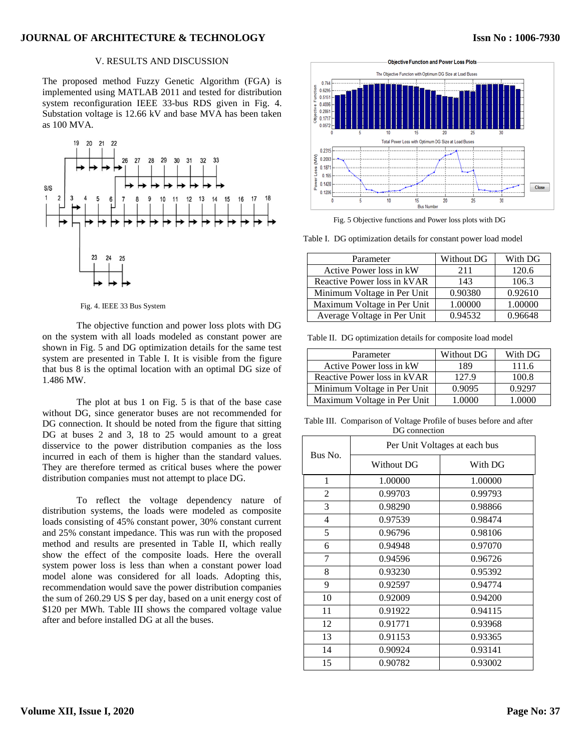### V. RESULTS AND DISCUSSION

The proposed method Fuzzy Genetic Algorithm (FGA) is implemented using MATLAB 2011 and tested for distribution system reconfiguration IEEE 33-bus RDS given in Fig. 4. Substation voltage is 12.66 kV and base MVA has been taken as 100 MVA.



Fig. 4. IEEE 33 Bus System

The objective function and power loss plots with DG on the system with all loads modeled as constant power are shown in Fig. 5 and DG optimization details for the same test system are presented in Table I. It is visible from the figure that bus 8 is the optimal location with an optimal DG size of 1.486 MW.

The plot at bus 1 on Fig. 5 is that of the base case without DG, since generator buses are not recommended for DG connection. It should be noted from the figure that sitting DG at buses 2 and 3, 18 to 25 would amount to a great disservice to the power distribution companies as the loss incurred in each of them is higher than the standard values. They are therefore termed as critical buses where the power distribution companies must not attempt to place DG.

To reflect the voltage dependency nature of distribution systems, the loads were modeled as composite loads consisting of 45% constant power, 30% constant current and 25% constant impedance. This was run with the proposed method and results are presented in Table II, which really show the effect of the composite loads. Here the overall system power loss is less than when a constant power load model alone was considered for all loads. Adopting this, recommendation would save the power distribution companies the sum of 260.29 US \$ per day, based on a unit energy cost of \$120 per MWh. Table III shows the compared voltage value after and before installed DG at all the buses.



Fig. 5 Objective functions and Power loss plots with DG

Table I. DG optimization details for constant power load model

| Parameter                   | Without DG | With DG |
|-----------------------------|------------|---------|
| Active Power loss in kW     | 211        | 120.6   |
| Reactive Power loss in kVAR | 143        | 106.3   |
| Minimum Voltage in Per Unit | 0.90380    | 0.92610 |
| Maximum Voltage in Per Unit | 1.00000    | 1.00000 |
| Average Voltage in Per Unit | 0.94532    | 0.96648 |

Table II. DG optimization details for composite load model

| Parameter                   | Without DG | With DG |
|-----------------------------|------------|---------|
| Active Power loss in kW     | 189        | 111.6   |
| Reactive Power loss in kVAR | 127.9      | 100.8   |
| Minimum Voltage in Per Unit | 0.9095     | 0.9297  |
| Maximum Voltage in Per Unit | 1.0000     | (0.000) |

Table III.Comparison of Voltage Profile of buses before and after DG connection

|         | Per Unit Voltages at each bus |         |
|---------|-------------------------------|---------|
| Bus No. | <b>Without DG</b>             | With DG |
| 1       | 1.00000                       | 1.00000 |
| 2       | 0.99703                       | 0.99793 |
| 3       | 0.98290                       | 0.98866 |
| 4       | 0.97539                       | 0.98474 |
| 5       | 0.96796                       | 0.98106 |
| 6       | 0.94948                       | 0.97070 |
| 7       | 0.94596                       | 0.96726 |
| 8       | 0.93230                       | 0.95392 |
| 9       | 0.92597                       | 0.94774 |
| 10      | 0.92009                       | 0.94200 |
| 11      | 0.91922                       | 0.94115 |
| 12      | 0.91771                       | 0.93968 |
| 13      | 0.91153                       | 0.93365 |
| 14      | 0.90924                       | 0.93141 |
| 15      | 0.90782                       | 0.93002 |